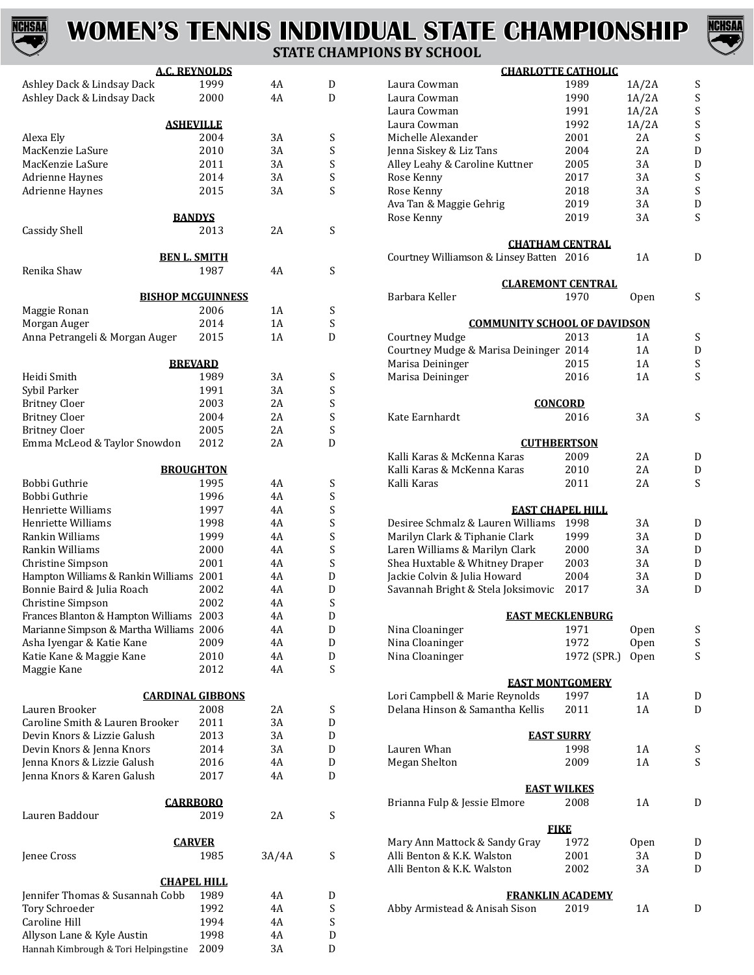

# **WOMEN'S TENNIS INDIVIDUAL STATE CHAMPIONSHIP**



### **STATE CHAMPIONS BY SCHOOL**

| <u>A.C. REYNOLDS</u>                    |      |          |        |
|-----------------------------------------|------|----------|--------|
| Ashley Dack & Lindsay Dack              | 1999 | 4A       | D      |
| Ashley Dack & Lindsay Dack              | 2000 | 4A       | D      |
|                                         |      |          |        |
| <b>ASHEVILLE</b>                        |      |          |        |
| Alexa Ely                               | 2004 | 3A       | S      |
| MacKenzie LaSure                        | 2010 | 3A       | S      |
| MacKenzie LaSure                        | 2011 | 3A       | S      |
| Adrienne Haynes                         | 2014 | 3A       | S<br>S |
| Adrienne Haynes                         | 2015 | 3A       |        |
| <b>BANDYS</b>                           |      |          |        |
| Cassidy Shell                           | 2013 | 2A       | S      |
|                                         |      |          |        |
| <b>BEN L. SMITH</b>                     |      |          |        |
| Renika Shaw                             | 1987 | 4A       | S      |
|                                         |      |          |        |
| <b>BISHOP MCGUINNESS</b>                |      |          |        |
| Maggie Ronan                            | 2006 | 1A       | S      |
| Morgan Auger                            | 2014 | 1A       | S      |
| Anna Petrangeli & Morgan Auger          | 2015 | 1A       | D      |
|                                         |      |          |        |
| <b>BREVARD</b>                          |      |          |        |
| Heidi Smith                             | 1989 | 3A       | S      |
| Sybil Parker                            | 1991 | 3A       | S      |
| <b>Britney Cloer</b>                    | 2003 | 2A       | S<br>S |
| <b>Britney Cloer</b>                    | 2004 | 2A       | S      |
| <b>Britney Cloer</b>                    | 2005 | 2A<br>2Α | D      |
| Emma McLeod & Taylor Snowdon            | 2012 |          |        |
| <b>BROUGHTON</b>                        |      |          |        |
| Bobbi Guthrie                           | 1995 | 4A       | S      |
| Bobbi Guthrie                           | 1996 | 4A       | S      |
| Henriette Williams                      | 1997 | 4Α       | S      |
| Henriette Williams                      | 1998 | 4Α       | S      |
| Rankin Williams                         | 1999 | 4Α       | S      |
| Rankin Williams                         | 2000 | 4A       | S      |
| Christine Simpson                       | 2001 | 4Α       | S      |
| Hampton Williams & Rankin Williams 2001 |      | 4Α       | D      |
| Bonnie Baird & Julia Roach              | 2002 | 4A       | D      |
| Christine Simpson                       | 2002 | 4A       | S      |
| Frances Blanton & Hampton Williams      | 2003 | 4A       | D      |
| Marianne Simpson & Martha Williams 2006 |      | 4A       | D      |
| Asha Iyengar & Katie Kane               | 2009 | 4Α       | D      |
| Katie Kane & Maggie Kane                | 2010 | 4A       | D      |
| Maggie Kane                             | 2012 | 4Α       | S      |
|                                         |      |          |        |
| <b>CARDINAL GIBBONS</b>                 |      |          |        |
| Lauren Brooker                          | 2008 | 2Α       | S      |
| Caroline Smith & Lauren Brooker         | 2011 | 3A       | D      |
| Devin Knors & Lizzie Galush             | 2013 | 3A       | D      |
| Devin Knors & Jenna Knors               | 2014 | 3A       | D      |
| Jenna Knors & Lizzie Galush             | 2016 | 4A       | D      |
| Jenna Knors & Karen Galush              | 2017 | 4A       | D      |
|                                         |      |          |        |
| <b>CARRBORO</b>                         |      | 2A       |        |
| Lauren Baddour                          | 2019 |          | S      |
| <b>CARVER</b>                           |      |          |        |
| Jenee Cross                             | 1985 | 3A/4A    | S      |
|                                         |      |          |        |
| <u>CHAPEL HILL</u>                      |      |          |        |
| Jennifer Thomas & Susannah Cobb         | 1989 | 4A       | D      |
| <b>Tory Schroeder</b>                   | 1992 | 4A       | S      |
| Caroline Hill                           | 1994 | 4A       | S      |
| Allyson Lane & Kyle Austin              | 1998 | 4A       | D      |
| Hannah Kimbrough & Tori Helpingstine    | 2009 | 3A       | D      |

| <b>CHARLOTTE CATHOLIC</b>                                |             |             |   |
|----------------------------------------------------------|-------------|-------------|---|
| Laura Cowman                                             | 1989        | 1A/2A       | S |
| Laura Cowman                                             | 1990        | 1A/2A       | S |
| Laura Cowman                                             | 1991        | 1A/2A       | S |
| Laura Cowman                                             | 1992        | 1A/2A       | S |
| Michelle Alexander                                       | 2001        | 2Α          | S |
| Jenna Siskey & Liz Tans                                  | 2004        | 2A          | D |
| Alley Leahy & Caroline Kuttner                           | 2005        | 3A          | D |
| Rose Kenny                                               | 2017        | 3A          | S |
| Rose Kenny                                               | 2018        | 3A          | S |
| Ava Tan & Maggie Gehrig                                  | 2019        | 3A          | D |
| Rose Kenny                                               | 2019        | 3A          | S |
| <b>CHATHAM CENTRAL</b>                                   |             |             |   |
| Courtney Williamson & Linsey Batten 2016                 |             | 1A          | D |
| <b>CLAREMONT CENTRAL</b>                                 |             |             |   |
| Barbara Keller                                           | 1970        | Open        | S |
|                                                          |             |             |   |
| <b>COMMUNITY SCHOOL OF DAVIDSON</b><br>Courtney Mudge    | 2013        | 1A          | S |
| Courtney Mudge & Marisa Deininger 2014                   |             | 1A          | D |
| Marisa Deininger                                         | 2015        | 1 A         | S |
| Marisa Deininger                                         | 2016        | 1A          | S |
|                                                          |             |             |   |
| <b>CONCORD</b>                                           |             |             |   |
| Kate Earnhardt                                           | 2016        | 3A          | S |
| <b>CUTHBERTSON</b>                                       |             |             |   |
| Kalli Karas & McKenna Karas                              | 2009        | 2Α          | D |
| Kalli Karas & McKenna Karas                              | 2010        | 2Α          | D |
| Kalli Karas                                              | 2011        | 2Α          | S |
| <b>EAST CHAPEL HILL</b>                                  |             |             |   |
| Desiree Schmalz & Lauren Williams                        | 1998        | 3A          | D |
| Marilyn Clark & Tiphanie Clark                           | 1999        | 3A          | D |
| Laren Williams & Marilyn Clark                           | 2000        | 3A          | D |
| Shea Huxtable & Whitney Draper                           | 2003        | 3A          | D |
| Jackie Colvin & Julia Howard                             | 2004        | 3A          | D |
| Savannah Bright & Stela Joksimovic                       | 2017        | 3A          | D |
| <b>EAST MECKLENBURG</b>                                  |             |             |   |
| Nina Cloaninger                                          | 1971        | Open        | S |
| Nina Cloaninger                                          | 1972        | Open        | S |
| Nina Cloaninger                                          | 1972 (SPR.) | <b>Open</b> | S |
| <b>EAST MONTGOMERY</b>                                   |             |             |   |
| Lori Campbell & Marie Reynolds                           | 1997        | 1A          | D |
| Delana Hinson & Samantha Kellis                          | 2011        | 1A          | D |
|                                                          |             |             |   |
| <u>EAST SURRY</u>                                        |             |             |   |
| Lauren Whan                                              | 1998        | 1 A         | S |
| Megan Shelton                                            | 2009        | 1A          | S |
| <b>EAST WILKES</b>                                       |             |             |   |
| Brianna Fulp & Jessie Elmore                             | 2008        | 1A          | D |
| <b>FIKE</b>                                              |             |             |   |
| Mary Ann Mattock & Sandy Gray                            | 1972        | 0pen        | D |
| Alli Benton & K.K. Walston                               | 2001        | 3A          | D |
| Alli Benton & K.K. Walston                               | 2002        | 3A          | D |
|                                                          |             |             |   |
| <b>FRANKLIN ACADEMY</b><br>Abby Armistead & Anisah Sison | 2019        | 1A          | D |
|                                                          |             |             |   |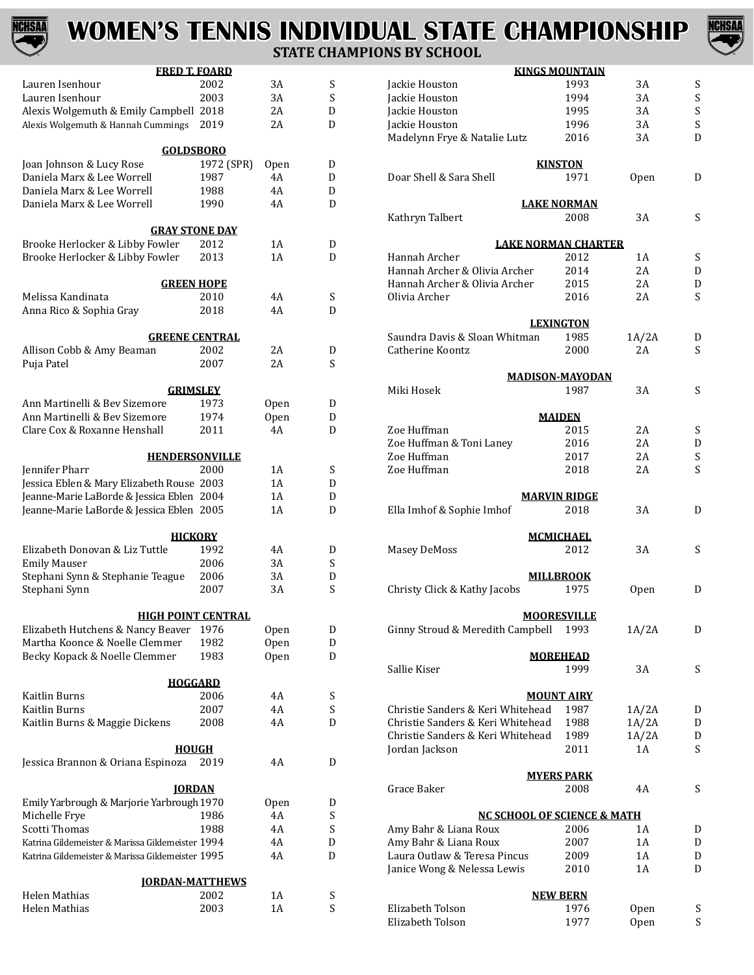

# **WOMEN'S TENNIS INDIVIDUAL STATE CHAMPIONSHIP STATE CHAMPIONS BY SCHO**



#### **FRED T. FOARD** Lauren Isenhour 2002 3A S Lauren Isenhour 2003 3A S Alexis Wolgemuth & Emily Campbell 2018 2A D<br>Alexis Wolgemuth & Hannah Cummings 2019 2A D Alexis Wolgemuth & Hannah Cummings 2019 **GOLDSBORO** Joan Johnson & Lucy Rose 1972 (SPR) Open D Daniela Marx & Lee Worrell 1987 4A D Daniela Marx & Lee Worrell 1988 4A D Daniela Marx & Lee Worrell **GRAY STONE DAY** Brooke Herlocker & Libby Fowler 2012 1A D Brooke Herlocker & Libby Fowler **GREEN HOPE** Melissa Kandinata 2010 4A S Anna Rico & Sophia Gray **GREENE CENTRAL** Allison Cobb & Amy Beaman 2002 2A D<br>
Puja Patel 2007 2A S Puja Patel 2007 2A S **GRIMSLEY** Ann Martinelli & Bev Sizemore 1973 Open D Ann Martinelli & Bev Sizemore 1974 Open D<br>Clare Cox & Roxanne Henshall 2011 4A D Clare Cox & Roxanne Henshall **HENDERSONVILLE** Jennifer Pharr 2000 1A S Jessica Eblen & Mary Elizabeth Rouse 2003 1A D<br>Ieanne-Marie LaBorde & Iessica Eblen 2004 1A D Jeanne-Marie LaBorde & Jessica Eblen 2004 1A D Jeanne-Marie LaBorde & Jessica Eblen 2005 **HICKORY** Elizabeth Donovan & Liz Tuttle 1992 4A D Emily Mauser 2006 3A S Stephani Synn & Stephanie Teague 2006 3A D Stephani Synn **HIGH POINT CENTRAL** Elizabeth Hutchens & Nancy Beaver 1976 Open D<br>Martha Koonce & Noelle Clemmer 1982 Open D Martha Koonce & Noelle Clemmer 1982 Open D<br>Becky Kopack & Noelle Clemmer 1983 Open D Becky Kopack & Noelle Clemmer **HOGGARD** Kaitlin Burns 2006 4A S Kaitlin Burns 2007 4A S Kaitlin Burns & Maggie Dickens **HOUGH** Jessica Brannon & Oriana Espinoza 2019 4A D **JORDAN** Emily Yarbrough & Marjorie Yarbrough 1970 Open D<br>Michelle Frye 1986 4A S Michelle Frye 1986 4A S Scotti Thomas 1988 4A S<br>Katrina Gildemeister & Marissa Gildemeister 1994 4A D Katrina Gildemeister & Marissa Gildemeister 1994 4A D Katrina Gildemeister & Marissa Gildemeister 1995 **JORDAN-MATTHEWS** Helen Mathias  $2002$  1A S<br>Helen Mathias 2003 1A S Helen Mathias

| 19 DI JUNUUL                           |                            |             |   |
|----------------------------------------|----------------------------|-------------|---|
|                                        | <b>KINGS MOUNTAIN</b>      |             |   |
| Jackie Houston                         | 1993                       | 3A          | S |
| Jackie Houston                         | 1994                       | 3A          | S |
| Jackie Houston                         | 1995                       | 3A          | S |
| Jackie Houston                         | 1996                       | 3A          | S |
| Madelynn Frye & Natalie Lutz           | 2016                       | 3A          | D |
|                                        | <b>KINSTON</b>             |             |   |
| Doar Shell & Sara Shell                | 1971                       | <b>Open</b> | D |
|                                        |                            |             |   |
| Kathryn Talbert                        | <b>LAKE NORMAN</b><br>2008 | 3A          | S |
|                                        |                            |             |   |
| <b>LAKE NORMAN CHARTER</b>             |                            |             |   |
| Hannah Archer                          | 2012                       | 1A          | S |
| Hannah Archer & Olivia Archer          | 2014                       | 2A          | D |
| Hannah Archer & Olivia Archer          | 2015                       | 2Α          | D |
| Olivia Archer                          | 2016                       | 2Α          | S |
|                                        |                            |             |   |
|                                        | <b>LEXINGTON</b>           |             |   |
| Saundra Davis & Sloan Whitman          | 1985                       | 1A/2A       | D |
| Catherine Koontz                       | 2000                       | 2A          | S |
| <b>MADISON-MAYODAN</b>                 |                            |             |   |
| Miki Hosek                             | 1987                       | 3A          | S |
|                                        |                            |             |   |
|                                        | <b>MAIDEN</b>              |             |   |
| Zoe Huffman                            | 2015                       | 2Α          | S |
| Zoe Huffman & Toni Laney               | 2016                       | 2A          | D |
| Zoe Huffman                            | 2017                       | 2A          | S |
| Zoe Huffman                            | 2018                       | 2Α          | S |
|                                        |                            |             |   |
|                                        | <b>MARVIN RIDGE</b>        | 3A          |   |
| Ella Imhof & Sophie Imhof              | 2018                       |             | D |
|                                        | <b>MCMICHAEL</b>           |             |   |
| <b>Masey DeMoss</b>                    | 2012                       | 3A          | S |
|                                        |                            |             |   |
|                                        | <b>MILLBROOK</b>           |             |   |
| Christy Click & Kathy Jacobs           | 1975                       | Open        | D |
|                                        |                            |             |   |
|                                        | <b>MOORESVILLE</b>         |             |   |
| Ginny Stroud & Meredith Campbell       | 1993                       | 1A/2A       | D |
|                                        | <b>MOREHEAD</b>            |             |   |
| Sallie Kiser                           | 1999                       | 3A          | S |
|                                        |                            |             |   |
|                                        | <b>MOUNT AIRY</b>          |             |   |
| Christie Sanders & Keri Whitehead      | 1987                       | 1A/2A       | D |
| Christie Sanders & Keri Whitehead      | 1988                       | 1A/2A       | D |
| Christie Sanders & Keri Whitehead      | 1989                       | 1A/2A       | D |
| Jordan Jackson                         | 2011                       | 1 A         | S |
|                                        |                            |             |   |
|                                        | <b>MYERS PARK</b>          |             |   |
| Grace Baker                            | 2008                       | 4Α          | S |
| <b>NC SCHOOL OF SCIENCE &amp; MATH</b> |                            |             |   |
| Amy Bahr & Liana Roux                  | 2006                       | 1A          | D |
| Amy Bahr & Liana Roux                  | 2007                       | 1A          | D |
| Laura Outlaw & Teresa Pincus           | 2009                       | 1A          | D |
| Janice Wong & Nelessa Lewis            | 2010                       | 1A          | D |
|                                        |                            |             |   |
|                                        | <u>NEW BERN</u>            |             |   |
| Elizabeth Tolson                       | 1976                       | Open        | S |
| Elizabeth Tolson                       | 1977                       | Open        | S |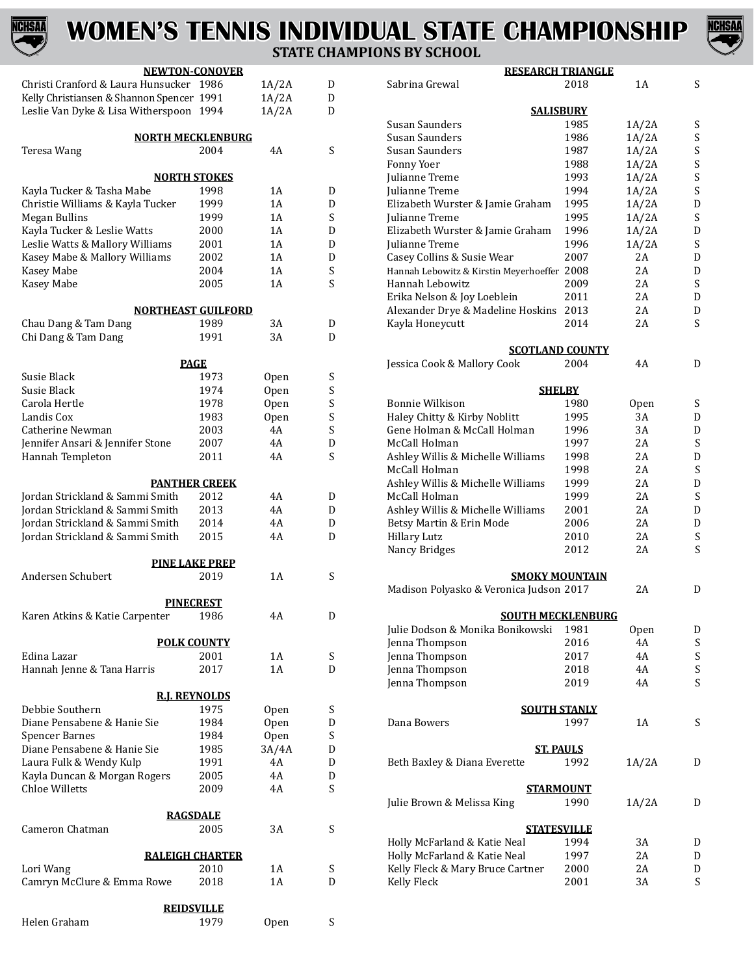# **CHSAA**

# **WOMEN'S TENNIS INDIVIDUAL STATE CHAMPIONSHIP STATE CHAMPIONS BY SCHOOL**



|                                           | <b>NEWTON-CONOVER</b>     |             |                           | <b>RESEARCH TRIANGLE</b>                    |                        |       |   |
|-------------------------------------------|---------------------------|-------------|---------------------------|---------------------------------------------|------------------------|-------|---|
| Christi Cranford & Laura Hunsucker 1986   |                           | 1A/2A       | D                         | Sabrina Grewal                              | 2018                   | 1A    | S |
| Kelly Christiansen & Shannon Spencer 1991 |                           | 1A/2A       | D                         |                                             |                        |       |   |
| Leslie Van Dyke & Lisa Witherspoon 1994   |                           | 1A/2A       | D                         |                                             | <b>SALISBURY</b>       |       |   |
|                                           |                           |             |                           | Susan Saunders                              | 1985                   | 1A/2A | S |
|                                           | <b>NORTH MECKLENBURG</b>  |             |                           | Susan Saunders                              | 1986                   | 1A/2A | S |
| Teresa Wang                               | 2004                      | 4A          | S                         | <b>Susan Saunders</b>                       | 1987                   | 1A/2A | S |
|                                           |                           |             |                           | Fonny Yoer                                  | 1988                   | 1A/2A | S |
|                                           | <b>NORTH STOKES</b>       |             |                           | Julianne Treme                              | 1993                   | 1A/2A | S |
| Kayla Tucker & Tasha Mabe                 | 1998                      | 1A          | D                         | Julianne Treme                              | 1994                   | 1A/2A | S |
| Christie Williams & Kayla Tucker          | 1999                      | 1A          | D                         | Elizabeth Wurster & Jamie Graham            | 1995                   | 1A/2A | D |
| <b>Megan Bullins</b>                      | 1999                      | 1A          | S                         | Julianne Treme                              | 1995                   | 1A/2A | S |
| Kayla Tucker & Leslie Watts               | 2000                      | 1A          | D                         | Elizabeth Wurster & Jamie Graham            | 1996                   | 1A/2A | D |
| Leslie Watts & Mallory Williams           | 2001                      | 1A          | D                         | Julianne Treme                              | 1996                   | 1A/2A | S |
| Kasey Mabe & Mallory Williams             | 2002                      | 1A          | D                         | Casey Collins & Susie Wear                  | 2007                   | 2A    | D |
| Kasey Mabe                                | 2004                      | 1A          | $\boldsymbol{\mathsf{S}}$ | Hannah Lebowitz & Kirstin Meyerhoeffer 2008 |                        | 2A    | D |
| Kasey Mabe                                | 2005                      | 1A          | $\boldsymbol{\mathsf{S}}$ | <b>Hannah Lebowitz</b>                      | 2009                   | 2A    | S |
|                                           |                           |             |                           | Erika Nelson & Joy Loeblein                 | 2011                   | 2A    | D |
|                                           | <b>NORTHEAST GUILFORD</b> |             |                           | Alexander Drye & Madeline Hoskins 2013      |                        | 2A    | D |
| Chau Dang & Tam Dang                      | 1989                      | 3A          | D                         | Kayla Honeycutt                             | 2014                   | 2A    | S |
| Chi Dang & Tam Dang                       | 1991                      | 3A          | D                         |                                             |                        |       |   |
|                                           |                           |             |                           |                                             | <b>SCOTLAND COUNTY</b> |       |   |
|                                           | <b>PAGE</b>               |             |                           | Jessica Cook & Mallory Cook                 | 2004                   | 4A    | D |
| Susie Black                               | 1973                      | <b>Open</b> | $\boldsymbol{\mathsf{S}}$ |                                             |                        |       |   |
| Susie Black                               | 1974                      | Open        | $\boldsymbol{\mathsf{S}}$ |                                             | <b>SHELBY</b>          |       |   |
| Carola Hertle                             | 1978                      | Open        | $\mathbf S$               | <b>Bonnie Wilkison</b>                      | 1980                   | Open  | S |
| Landis Cox                                | 1983                      | Open        | $\boldsymbol{\mathsf{S}}$ | Haley Chitty & Kirby Noblitt                | 1995                   | 3A    | D |
| Catherine Newman                          | 2003                      | 4A          | S                         | Gene Holman & McCall Holman                 | 1996                   | 3A    | D |
| Jennifer Ansari & Jennifer Stone          | 2007                      | 4A          | D                         | McCall Holman                               | 1997                   | 2A    | S |
| Hannah Templeton                          | 2011                      | 4A          | S                         | Ashley Willis & Michelle Williams           | 1998                   | 2A    | D |
|                                           |                           |             |                           | McCall Holman                               | 1998                   | 2A    | S |
|                                           | <b>PANTHER CREEK</b>      |             |                           | Ashley Willis & Michelle Williams           | 1999                   | 2A    | D |
| Jordan Strickland & Sammi Smith           | 2012                      | 4A          | D                         | McCall Holman                               | 1999                   | 2A    | S |
| Jordan Strickland & Sammi Smith           | 2013                      | 4A          | D                         | Ashley Willis & Michelle Williams           | 2001                   | 2A    | D |
| Jordan Strickland & Sammi Smith           | 2014                      | 4A          | D                         | Betsy Martin & Erin Mode                    | 2006                   | 2A    | D |
| Jordan Strickland & Sammi Smith           | 2015                      | 4A          | D                         | <b>Hillary Lutz</b>                         | 2010                   | 2A    | S |
|                                           |                           |             |                           | Nancy Bridges                               | 2012                   | 2A    | S |
|                                           | <b>PINE LAKE PREP</b>     |             |                           |                                             |                        |       |   |
| Andersen Schubert                         | 2019                      | 1A          | $\boldsymbol{\mathsf{S}}$ |                                             | <b>SMOKY MOUNTAIN</b>  |       |   |
|                                           |                           |             |                           | Madison Polyasko & Veronica Judson 2017     |                        | 2A    | D |
|                                           | <b>PINECREST</b>          |             |                           |                                             |                        |       |   |
| Karen Atkins & Katie Carpenter            | 1986                      | 4A          | D                         | <b>SOUTH MECKLENBURG</b>                    |                        |       |   |
|                                           |                           |             |                           | Julie Dodson & Monika Bonikowski            | 1981                   | Open  | D |
|                                           | <b>POLK COUNTY</b>        |             |                           | Jenna Thompson                              | 2016                   | 4A    | S |
| Edina Lazar                               | 2001                      | 1A          | S                         | Jenna Thompson                              | 2017                   | 4A    | S |
| Hannah Jenne & Tana Harris                | 2017                      | 1A          | D                         | Jenna Thompson                              | 2018                   | 4A    | S |
|                                           |                           |             |                           | Jenna Thompson                              | 2019                   | 4A    | S |
|                                           | <b>R.J. REYNOLDS</b>      |             |                           |                                             |                        |       |   |
| Debbie Southern                           | 1975                      | Open        | $\boldsymbol{\mathsf{S}}$ |                                             | <b>SOUTH STANLY</b>    |       |   |
| Diane Pensabene & Hanie Sie               | 1984                      | Open        | D                         | Dana Bowers                                 | 1997                   | 1A    | S |
| <b>Spencer Barnes</b>                     | 1984                      | Open        | $\boldsymbol{\mathsf{S}}$ |                                             |                        |       |   |
| Diane Pensabene & Hanie Sie               | 1985                      | 3A/4A       | D                         |                                             | <b>ST. PAULS</b>       |       |   |
| Laura Fulk & Wendy Kulp                   | 1991                      | 4A          | D                         | Beth Baxley & Diana Everette                | 1992                   | 1A/2A | D |
| Kayla Duncan & Morgan Rogers              | 2005                      | 4A          | D                         |                                             |                        |       |   |
| Chloe Willetts                            | 2009                      | 4A          | S                         |                                             | <b>STARMOUNT</b>       |       |   |
|                                           |                           |             |                           | Julie Brown & Melissa King                  | 1990                   | 1A/2A | D |
|                                           | <b>RAGSDALE</b>           |             |                           |                                             |                        |       |   |
| Cameron Chatman                           | 2005                      | 3A          | $\boldsymbol{\mathsf{S}}$ |                                             | <b>STATESVILLE</b>     |       |   |
|                                           |                           |             |                           | Holly McFarland & Katie Neal                | 1994                   | 3A    | D |
|                                           | <b>RALEIGH CHARTER</b>    |             |                           | Holly McFarland & Katie Neal                | 1997                   | 2A    | D |
| Lori Wang                                 | 2010                      | 1A          | S                         | Kelly Fleck & Mary Bruce Cartner            | 2000                   | 2A    | D |
| Camryn McClure & Emma Rowe                | 2018                      | 1A          | D                         | Kelly Fleck                                 | 2001                   | 3A    | S |
|                                           |                           |             |                           |                                             |                        |       |   |
|                                           | <b>REIDSVILLE</b>         |             |                           |                                             |                        |       |   |
|                                           |                           |             |                           |                                             |                        |       |   |

Helen Graham 1979 Open S